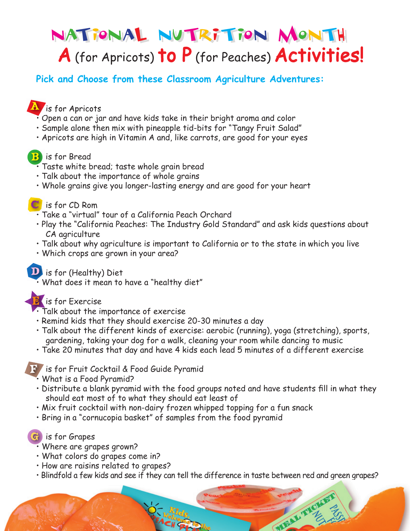# National Nutrition Month National Nutrition Month A (for Apricots) to P (for Peaches) Activities!

**Pick and Choose from these Classroom Agriculture Adventures:**

## **is for Apricots**

- Open a can or jar and have kids take in their bright aroma and color
- Sample alone then mix with pineapple tid-bits for "Tangy Fruit Salad"
- Apricots are high in Vitamin A and, like carrots, are good for your eyes

#### **B** lis for Bread

- Taste white bread; taste whole grain bread
- Talk about the importance of whole grains
- Whole grains give you longer-lasting energy and are good for your heart

#### **C** is for CD Rom

- Take a "virtual" tour of a California Peach Orchard
- Play the "California Peaches: The Industry Gold Standard" and ask kids questions about CA agriculture
- Talk about why agriculture is important to California or to the state in which you live
- Which crops are grown in your area?

#### **D** is for (Healthy) Diet

• What does it mean to have a "healthy diet"

#### **D** is for Exercise

- Talk about the importance of exercise
- Remind kids that they should exercise 20-30 minutes a day
- Talk about the different kinds of exercise: aerobic (running), yoga (stretching), sports, gardening, taking your dog for a walk, cleaning your room while dancing to music
- Take 20 minutes that day and have 4 kids each lead 5 minutes of a different exercise

#### is for Fruit Cocktail & Food Guide Pyramid

- What is a Food Pyramid?
- Distribute a blank pyramid with the food groups noted and have students fill in what they should eat most of to what they should eat least of
- Mix fruit cocktail with non-dairy frozen whipped topping for a fun snack
- Bring in a "cornucopia basket" of samples from the food pyramid

#### **G** lis for Grapes

- Where are grapes grown?
- What colors do grapes come in?
- How are raisins related to grapes?
- Blindfold a few kids and see if they can tell the difference in taste between red and green grapes?

WIRAL TYO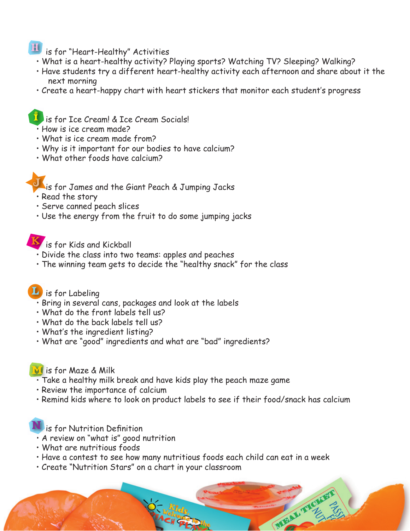## **if J** is for "Heart-Healthy" Activities

- What is a heart-healthy activity? Playing sports? Watching TV? Sleeping? Walking?
- Have students try a different heart-healthy activity each afternoon and share about it the next morning
- Create a heart-happy chart with heart stickers that monitor each student's progress

#### $\mathbf{I}$  is for Ice Cream! & Ice Cream Socials!

- How is ice cream made?
- What is ice cream made from?
- Why is it important for our bodies to have calcium?
- What other foods have calcium?

#### is for James and the Giant Peach & Jumping Jacks

- Read the story
- Serve canned peach slices
- Use the energy from the fruit to do some jumping jacks

**is for Kids and Kickball** 

- Divide the class into two teams: apples and peaches
- The winning team gets to decide the "healthy snack" for the class

### Lis for Labeling

- Bring in several cans, packages and look at the labels
- What do the front labels tell us?
- What do the back labels tell us?
- What's the ingredient listing?
- What are "good" ingredients and what are "bad" ingredients?

#### **VI** is for Maze & Milk

- Take a healthy milk break and have kids play the peach maze game
- Review the importance of calcium
- Remind kids where to look on product labels to see if their food/snack has calcium

#### **U** is for Nutrition Definition

- A review on "what is" good nutrition
- What are nutritious foods
- Have a contest to see how many nutritious foods each child can eat in a week

MELL TH

• Create "Nutrition Stars" on a chart in your classroom